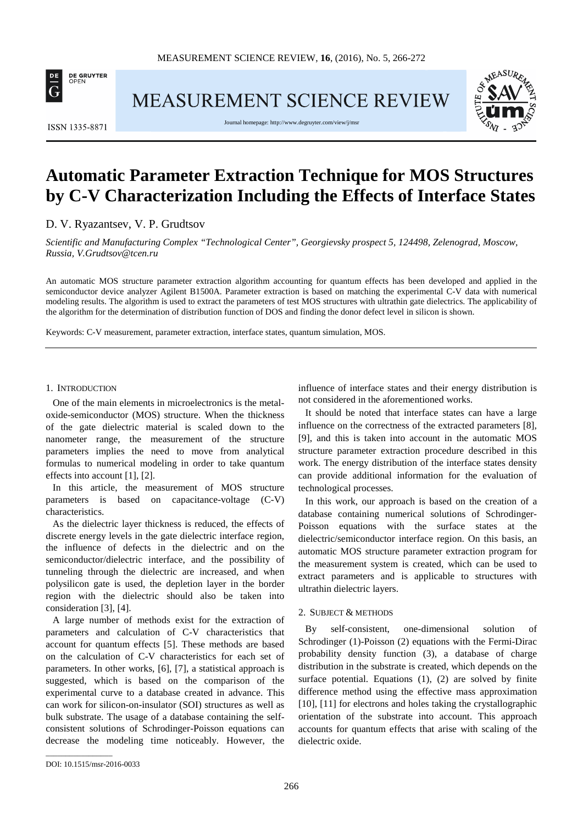

**MEASUREMENT SCIENCE REVIEW** 



**ISSN 1335-8871** 

Journal homepage[: http://www.degruyter.com/view/j/msr](http://www.degruyter.com/view/j/msr)

# **Automatic Parameter Extraction Technique for MOS Structures by C-V Characterization Including the Effects of Interface States**

D. V. Ryazantsev, V. P. Grudtsov

*Scientific and Manufacturing Complex "Technological Center", Georgievsky prospect 5, 124498, Zelenograd, Moscow, Russia, V.Grudtsov@tcen.ru*

An automatic MOS structure parameter extraction algorithm accounting for quantum effects has been developed and applied in the semiconductor device analyzer Agilent B1500A. Parameter extraction is based on matching the experimental C-V data with numerical modeling results. The algorithm is used to extract the parameters of test MOS structures with ultrathin gate dielectrics. The applicability of the algorithm for the determination of distribution function of DOS and finding the donor defect level in silicon is shown.

Keywords: C-V measurement, parameter extraction, interface states, quantum simulation, MOS.

### 1. INTRODUCTION

One of the main elements in microelectronics is the metaloxide-semiconductor (MOS) structure. When the thickness of the gate dielectric material is scaled down to the nanometer range, the measurement of the structure parameters implies the need to move from analytical formulas to numerical modeling in order to take quantum effects into account [1], [2].

In this article, the measurement of MOS structure parameters is based on capacitance-voltage (C-V) characteristics.

As the dielectric layer thickness is reduced, the effects of discrete energy levels in the gate dielectric interface region, the influence of defects in the dielectric and on the semiconductor/dielectric interface, and the possibility of tunneling through the dielectric are increased, and when polysilicon gate is used, the depletion layer in the border region with the dielectric should also be taken into consideration [3], [4].

A large number of methods exist for the extraction of parameters and calculation of C-V characteristics that account for quantum effects [5]. These methods are based on the calculation of C-V characteristics for each set of parameters. In other works, [6], [7], a statistical approach is suggested, which is based on the comparison of the experimental curve to a database created in advance. This can work for silicon-on-insulator (SOI) structures as well as bulk substrate. The usage of a database containing the selfconsistent solutions of Schrodinger-Poisson equations can decrease the modeling time noticeably. However, the influence of interface states and their energy distribution is not considered in the aforementioned works.

It should be noted that interface states can have a large influence on the correctness of the extracted parameters [8], [9], and this is taken into account in the automatic MOS structure parameter extraction procedure described in this work. The energy distribution of the interface states density can provide additional information for the evaluation of technological processes.

In this work, our approach is based on the creation of a database containing numerical solutions of Schrodinger-Poisson equations with the surface states at the dielectric/semiconductor interface region. On this basis, an automatic MOS structure parameter extraction program for the measurement system is created, which can be used to extract parameters and is applicable to structures with ultrathin dielectric layers.

# 2. SUBJECT & METHODS

By self-consistent, one-dimensional solution of Schrodinger (1)-Poisson (2) equations with the Fermi-Dirac probability density function (3), a database of charge distribution in the substrate is created, which depends on the surface potential. Equations (1), (2) are solved by finite difference method using the effective mass approximation [10], [11] for electrons and holes taking the crystallographic orientation of the substrate into account. This approach accounts for quantum effects that arise with scaling of the dielectric oxide.

\_\_\_\_\_\_\_\_\_\_\_\_\_\_\_\_\_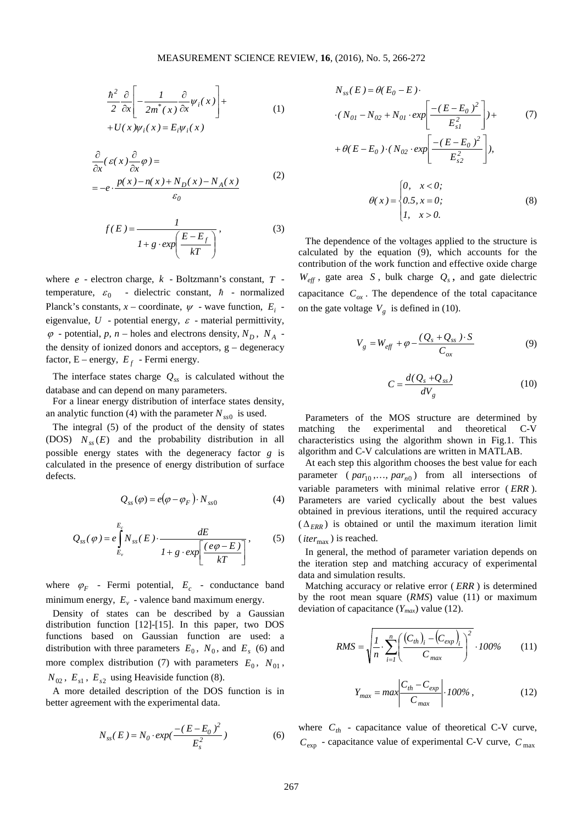$$
\frac{\hbar^2}{2} \frac{\partial}{\partial x} \left[ -\frac{1}{2m^*(x)} \frac{\partial}{\partial x} \psi_i(x) \right] + U(x) \psi_i(x) = E_i \psi_i(x)
$$
\n(1)

$$
\frac{\partial}{\partial x}(\varepsilon(x)\frac{\partial}{\partial x}\varphi) =
$$
\n
$$
= -e \cdot \frac{p(x) - n(x) + N_D(x) - N_A(x)}{\varepsilon_0}
$$
\n(2)

$$
f(E) = \frac{1}{1 + g \cdot exp\left(\frac{E - E_f}{kT}\right)},
$$
\n(3)

where *e* - electron charge, *k* - Boltzmann's constant, *T* temperature,  $\varepsilon_0$  - dielectric constant,  $\hbar$  - normalized Planck's constants,  $x$  – coordinate,  $\psi$  - wave function,  $E_i$  eigenvalue,  $U$  - potential energy,  $\varepsilon$  - material permittivity,  $\varphi$  - potential,  $p, n$  – holes and electrons density,  $N_D$ ,  $N_A$ . the density of ionized donors and acceptors,  $g - degeneracy$ factor,  $E$  – energy,  $E_f$  - Fermi energy.

The interface states charge  $Q_{ss}$  is calculated without the database and can depend on many parameters.

For a linear energy distribution of interface states density, an analytic function (4) with the parameter  $N_{ss0}$  is used.

The integral (5) of the product of the density of states (DOS)  $N_{ss}(E)$  and the probability distribution in all possible energy states with the degeneracy factor *g* is calculated in the presence of energy distribution of surface defects.

$$
Q_{ss}(\varphi) = e(\varphi - \varphi_F) \cdot N_{ss0}
$$
 (4)

$$
Q_{ss}(\varphi) = e \int_{E_v}^{E_e} N_{ss}(E) \cdot \frac{dE}{1 + g \cdot exp\left[\frac{(e\varphi - E)}{kT}\right]},
$$
 (5)

where  $\varphi_F$  - Fermi potential,  $E_c$  - conductance band minimum energy,  $E_v$  - valence band maximum energy.

Density of states can be described by a Gaussian distribution function [12]-[15]. In this paper, two DOS functions based on Gaussian function are used: a distribution with three parameters  $E_0$ ,  $N_0$ , and  $E_s$  (6) and more complex distribution (7) with parameters  $E_0$ ,  $N_{01}$ ,  $N_{02}$ ,  $E_{s1}$ ,  $E_{s2}$  using Heaviside function (8).

A more detailed description of the DOS function is in better agreement with the experimental data.

$$
N_{ss}(E) = N_0 \cdot exp(\frac{-(E - E_0)^2}{E_s^2})
$$
 (6)

$$
N_{ss}(E) = \theta(E_0 - E)
$$
  
\n
$$
\cdot (N_{0I} - N_{02} + N_{0I} \cdot exp\left[\frac{-(E - E_0)^2}{E_{sI}^2}\right]) +
$$
\n
$$
+ \theta(E - E_0) \cdot (N_{02} \cdot exp\left[\frac{-(E - E_0)^2}{E_{s2}^2}\right]),
$$
\n
$$
\theta(x) = \begin{cases} 0, & x < 0; \\ 0.5, & x = 0; \\ 1, & x > 0. \end{cases}
$$
\n(8)

The dependence of the voltages applied to the structure is calculated by the equation (9), which accounts for the contribution of the work function and effective oxide charge  $W_{\text{eff}}$ , gate area *S*, bulk charge  $Q_s$ , and gate dielectric capacitance  $C_{ox}$ . The dependence of the total capacitance on the gate voltage  $V<sub>g</sub>$  is defined in (10).

$$
V_g = W_{\text{eff}} + \varphi - \frac{(Q_s + Q_{ss}) \cdot S}{C_{ox}}
$$
(9)

$$
C = \frac{d(Q_s + Q_{ss})}{dV_g} \tag{10}
$$

Parameters of the MOS structure are determined by matching the experimental and theoretical C-V characteristics using the algorithm shown in Fig.1. This algorithm and C-V calculations are written in MATLAB.

At each step this algorithm chooses the best value for each parameter ( $par_{10}$ ,...,  $par_{n0}$ ) from all intersections of variable parameters with minimal relative error ( *ERR* ). Parameters are varied cyclically about the best values obtained in previous iterations, until the required accuracy  $(\Delta_{FRR})$  is obtained or until the maximum iteration limit  $(*iter*<sub>max</sub>)$  is reached.

In general, the method of parameter variation depends on the iteration step and matching accuracy of experimental data and simulation results.

Matching accuracy or relative error ( *ERR* ) is determined by the root mean square (*RMS*) value (11) or maximum deviation of capacitance (*Ymax*) value (12).

$$
RMS = \sqrt{\frac{I}{n} \cdot \sum_{i=1}^{n} \left( \frac{(C_{th})_i - (C_{exp})_i}{C_{max}} \right)^2} \cdot 100\% \tag{11}
$$

$$
Y_{max} = max \left| \frac{C_{th} - C_{exp}}{C_{max}} \right| \cdot 100\%, \qquad (12)
$$

where  $C_{th}$  - capacitance value of theoretical C-V curve,  $C_{\text{exp}}$  - capacitance value of experimental C-V curve,  $C_{\text{max}}$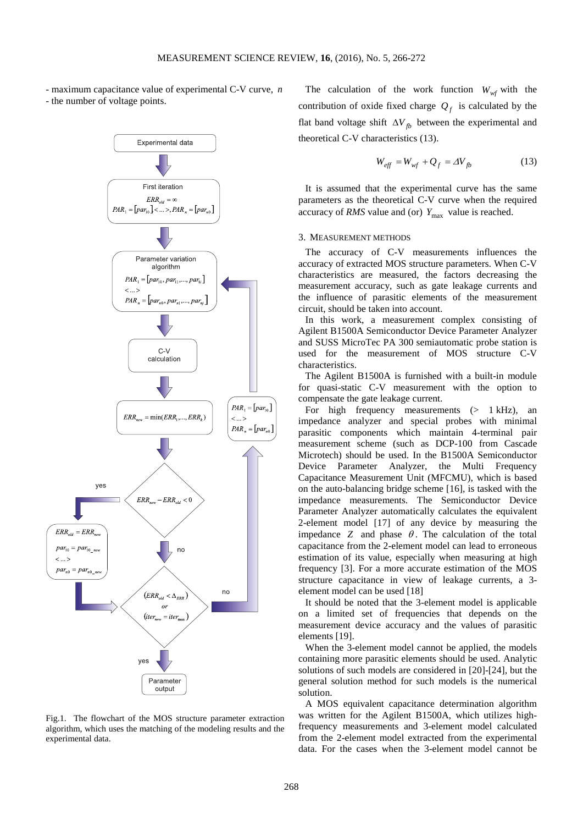- maximum capacitance value of experimental C-V curve, *n* - the number of voltage points.



Fig.1. The flowchart of the MOS structure parameter extraction algorithm, which uses the matching of the modeling results and the experimental data.

The calculation of the work function  $W_{wf}$  with the contribution of oxide fixed charge  $Q_f$  is calculated by the flat band voltage shift  $\Delta V_{fb}$  between the experimental and theoretical C-V characteristics (13).

$$
W_{\text{eff}} = W_{\text{wf}} + Q_f = \Delta V_{fb} \tag{13}
$$

It is assumed that the experimental curve has the same parameters as the theoretical C-V curve when the required accuracy of *RMS* value and (or)  $Y_{\text{max}}$  value is reached.

#### 3. MEASUREMENT METHODS

The accuracy of C-V measurements influences the accuracy of extracted MOS structure parameters. When C-V characteristics are measured, the factors decreasing the measurement accuracy, such as gate leakage currents and the influence of parasitic elements of the measurement circuit, should be taken into account.

In this work, a measurement complex consisting of Agilent B1500A Semiconductor Device Parameter Analyzer and SUSS MicroTec PA 300 semiautomatic probe station is used for the measurement of MOS structure C-V characteristics.

The Agilent B1500A is furnished with a built-in module for quasi-static C-V measurement with the option to compensate the gate leakage current.

For high frequency measurements  $(> 1$  kHz), an impedance analyzer and special probes with minimal parasitic components which maintain 4-terminal pair measurement scheme (such as DCP-100 from Cascade Microtech) should be used. In the B1500A Semiconductor Device Parameter Analyzer, the Multi Frequency Capacitance Measurement Unit (MFCMU), which is based on the auto-balancing bridge scheme [16], is tasked with the impedance measurements. The Semiconductor Device Parameter Analyzer automatically calculates the equivalent 2-element model [17] of any device by measuring the impedance *Z* and phase  $\theta$ . The calculation of the total capacitance from the 2-element model can lead to erroneous estimation of its value, especially when measuring at high frequency [3]. For a more accurate estimation of the MOS structure capacitance in view of leakage currents, a 3 element model can be used [18]

It should be noted that the 3-element model is applicable on a limited set of frequencies that depends on the measurement device accuracy and the values of parasitic elements [19].

When the 3-element model cannot be applied, the models containing more parasitic elements should be used. Analytic solutions of such models are considered in [20]-[24], but the general solution method for such models is the numerical solution.

A MOS equivalent capacitance determination algorithm was written for the Agilent B1500A, which utilizes highfrequency measurements and 3-element model calculated from the 2-element model extracted from the experimental data. For the cases when the 3-element model cannot be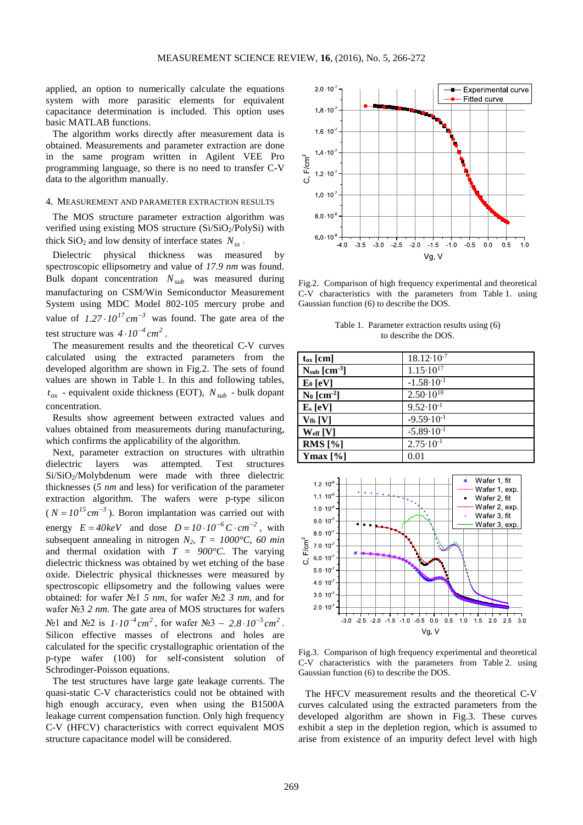applied, an option to numerically calculate the equations system with more parasitic elements for equivalent capacitance determination is included. This option uses basic MATLAB functions.

The algorithm works directly after measurement data is obtained. Measurements and parameter extraction are done in the same program written in Agilent VEE Pro programming language, so there is no need to transfer C-V data to the algorithm manually.

### 4. MEASUREMENT AND PARAMETER EXTRACTION RESULTS.

The MOS structure parameter extraction algorithm was verified using existing MOS structure  $(Si/SiO<sub>2</sub>/PolySi)$  with thick  $SiO<sub>2</sub>$  and low density of interface states  $N<sub>ss</sub>$ .

Dielectric physical thickness was measured by spectroscopic ellipsometry and value of *17.9 nm* was found. Bulk dopant concentration  $N_{sub}$  was measured during manufacturing on CSM/Win Semiconductor Measurement System using MDC Model 802-105 mercury probe and value of  $1.27 \cdot 10^{17}$  cm<sup>-3</sup> was found. The gate area of the test structure was  $4 \cdot 10^{-4}$   $cm^2$ .

The measurement results and the theoretical C-V curves calculated using the extracted parameters from the developed algorithm are shown in Fig.2. The sets of found values are shown in Table 1. In this and following tables,  $t_{ox}$  - [equivalent oxide thickness](https://en.wikipedia.org/wiki/Equivalent_oxide_thickness) (EOT),  $N_{sub}$  - bulk dopant concentration.

Results show agreement between extracted values and values obtained from measurements during manufacturing, which confirms the applicability of the algorithm.

Next, parameter extraction on structures with ultrathin dielectric layers was attempted. Test structures Si/SiO2/Molybdenum were made with three dielectric thicknesses (*5 nm* and less) for verification of the parameter extraction algorithm. The wafers were p-type silicon  $(N = 10^{15} \text{ cm}^{-3})$ . Boron implantation was carried out with energy  $E = 40 \text{keV}$  and dose  $D = 10 \cdot 10^{-6} \text{ C} \cdot \text{cm}^{-2}$ , with subsequent annealing in nitrogen  $N_2$ ,  $T = 1000^{\circ}C$ , 60 min and thermal oxidation with  $T = 900^{\circ}C$ . The varying dielectric thickness was obtained by wet etching of the base oxide. Dielectric physical thicknesses were measured by spectroscopic ellipsometry and the following values were obtained: for wafer №1 *5 nm*, for wafer №2 *3 nm,* and for wafer №3 *2 nm*. The gate area of MOS structures for wafers  $N$ ⊵1 and  $N$ ⊵2 is  $1 \cdot 10^{-4}$  cm<sup>2</sup>, for wafer  $N$ ⊵3 – 2.8 $\cdot 10^{-5}$  cm<sup>2</sup>. Silicon effective masses of electrons and holes are calculated for the specific crystallographic orientation of the p-type wafer (100) for self-consistent solution of Schrodinger-Poisson equations.

The test structures have large gate leakage currents. The quasi-static C-V characteristics could not be obtained with high enough accuracy, even when using the B1500A leakage current compensation function. Only high frequency C-V (HFCV) characteristics with correct equivalent MOS structure capacitance model will be considered.



Fig.2. Comparison of high frequency experimental and theoretical C-V characteristics with the parameters from Table 1. using Gaussian function (6) to describe the DOS.

Table 1. Parameter extraction results using (6) to describe the DOS.

| $t_{ox}$ [cm]             | $18.12 \cdot 10^{-7}$            |
|---------------------------|----------------------------------|
| $N_{sub}$ [ $cm3$ ]       | $1.15 \cdot 10^{17}$             |
| $E_0$ [eV]                | $-1.58 \cdot 10^{-1}$            |
| $N_0$ [cm <sup>-2</sup> ] | $2.50 \cdot 10^{10}$             |
| $E_s$ [eV]                | $9.52 \cdot 10^{-1}$             |
| $V_{\text{fb}}[V]$        | $-9.59 \cdot \overline{10^{-1}}$ |
| $W_{\rm eff}$ [V]         | $-5.89 \cdot 10^{-1}$            |
| RMS $[%]$                 | $2.75 \cdot 10^{-1}$             |
| Ymax $[\%]$               | 0.01                             |



Fig.3. Comparison of high frequency experimental and theoretical C-V characteristics with the parameters from Table 2. using Gaussian function (6) to describe the DOS.

The HFCV measurement results and the theoretical C-V curves calculated using the extracted parameters from the developed algorithm are shown in Fig.3. These curves exhibit a step in the depletion region, which is assumed to arise from existence of an impurity defect level with high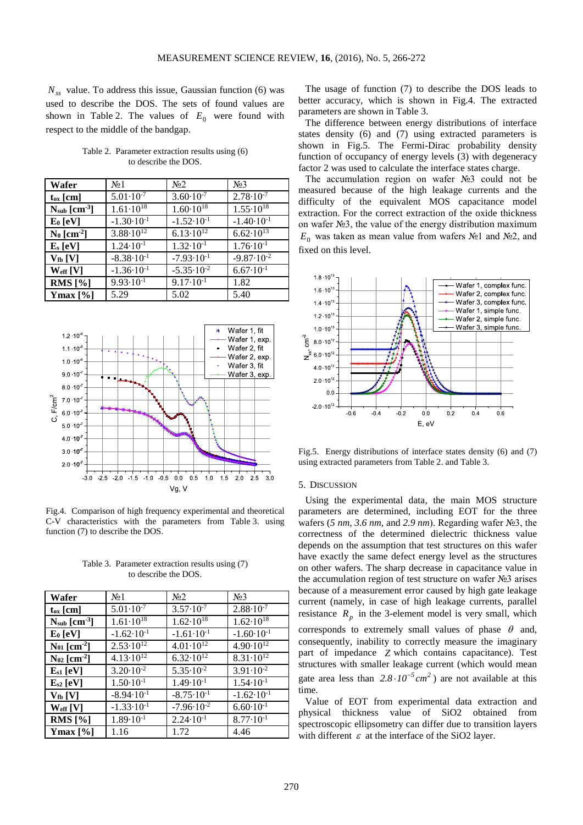$N_{ss}$  value. To address this issue, Gaussian function (6) was used to describe the DOS. The sets of found values are shown in Table 2. The values of  $E_0$  were found with respect to the middle of the bandgap.

Table 2. Parameter extraction results using (6) to describe the DOS.

| Wafer                     | N <sub>2</sub> 1                 | N <sub>0</sub> 2      | N <sub>2</sub> 3      |
|---------------------------|----------------------------------|-----------------------|-----------------------|
| $t_{ox}$ [cm]             | $5.01 \cdot 10^{-7}$             | $3.60 \cdot 10^{-7}$  | $2.78 \cdot 10^{-7}$  |
| $N_{sub}$ [ $cm-3$ ]      | $1.61 \cdot 10^{18}$             | $1.60 \cdot 10^{18}$  | $1.55 \cdot 10^{18}$  |
| $E_0$ [eV]                | $-1.30 \cdot \overline{10^{-1}}$ | $-1.52 \cdot 10^{-1}$ | $-1.40 \cdot 10^{-1}$ |
| $N_0$ [cm <sup>-2</sup> ] | $3.88 \cdot 10^{12}$             | $6.13 \cdot 10^{12}$  | $6.62 \cdot 10^{13}$  |
| $E_s$ [eV]                | $1.24 \cdot 10^{-1}$             | $1.32 \cdot 10^{-1}$  | $1.76 \cdot 10^{-1}$  |
| $V_{fb}$ [V]              | $-8.38 \cdot 10^{-1}$            | $-7.93 \cdot 10^{-1}$ | $-9.87 \cdot 10^{-2}$ |
| $W_{\rm eff}$ [V]         | $-1.36 \cdot 10^{-1}$            | $-5.35 \cdot 10^{-2}$ | $6.67 \cdot 10^{-1}$  |
| RMS $[%]$                 | $9.93 \cdot 10^{-1}$             | $9.17 \cdot 10^{-1}$  | 1.82                  |
| $Ymax [\%]$               | 5.29                             | 5.02                  | 5.40                  |



Fig.4. Comparison of high frequency experimental and theoretical C-V characteristics with the parameters from Table 3. using function (7) to describe the DOS.

Table 3. Parameter extraction results using (7) to describe the DOS.

| Wafer                        | N <sub>0</sub> 1      | N <sub>2</sub>        | N <sub>2</sub> 3      |
|------------------------------|-----------------------|-----------------------|-----------------------|
| $t_{ox}$ [cm]                | $5.01 \cdot 10^{-7}$  | $3.57 \cdot 10^{-7}$  | $2.88 \cdot 10^{-7}$  |
| $N_{sub}$ [ $cm-3$ ]         | $1.61 \cdot 10^{18}$  | $1.62 \cdot 10^{18}$  | $1.62 \cdot 10^{18}$  |
| $E_0$ [eV]                   | $-1.62 \cdot 10^{-1}$ | $-1.61 \cdot 10^{-1}$ | $-1.60 \cdot 10^{-1}$ |
| $N_{01}$ [cm <sup>-2</sup> ] | $2.53 \cdot 10^{12}$  | $4.01 \cdot 10^{12}$  | $4.90 \cdot 10^{12}$  |
| $N_{02}$ [cm <sup>-2</sup> ] | $4.13 \cdot 10^{12}$  | $6.32 \cdot 10^{12}$  | $8.31 \cdot 10^{12}$  |
| $E_{s1}$ [eV]                | $3.20 \cdot 10^{-2}$  | $5.35 \cdot 10^{-2}$  | $3.91 \cdot 10^{-2}$  |
| $E_{s2}$ [eV]                | $1.50 \cdot 10^{-1}$  | $1.49 \cdot 10^{-1}$  | $1.54 \cdot 10^{-1}$  |
| $V_{\text{fb}}[V]$           | $-8.94 \cdot 10^{-1}$ | $-8.75 \cdot 10^{-1}$ | $-1.62 \cdot 10^{-1}$ |
| $W_{\text{eff}}$ [V]         | $-1.33 \cdot 10^{-1}$ | $-7.96 \cdot 10^{-2}$ | $6.60 \cdot 10^{-1}$  |
| RMS $[%]$                    | $1.89 \cdot 10^{-1}$  | $2.24 \cdot 10^{-1}$  | $8.77 \cdot 10^{-1}$  |
| Ymax $[\%]$                  | 1.16                  | 1.72                  | 4.46                  |

The usage of function (7) to describe the DOS leads to better accuracy, which is shown in Fig.4. The extracted parameters are shown in Table 3.

The difference between energy distributions of interface states density (6) and (7) using extracted parameters is shown in Fig.5. The Fermi-Dirac probability density function of occupancy of energy levels (3) with degeneracy factor 2 was used to calculate the interface states charge.

The accumulation region on wafer №3 could not be measured because of the high leakage currents and the difficulty of the equivalent MOS capacitance model extraction. For the correct extraction of the oxide thickness on wafer №3, the value of the energy distribution maximum  $E_0$  was taken as mean value from wafers N<sup>o</sup>1 and N<sup>o</sup>2, and fixed on this level.



Fig.5. Energy distributions of interface states density (6) and (7) using extracted parameters from Table 2. and Table 3.

### 5. DISCUSSION

Using the experimental data, the main MOS structure parameters are determined, including [EOT](https://en.wikipedia.org/wiki/Equivalent_oxide_thickness) for the three wafers (*5 nm*, *3.6 nm*, and *2.9 nm*). Regarding wafer №3, the correctness of the determined dielectric thickness value depends on the assumption that test structures on this wafer have exactly the same defect energy level as the structures on other wafers. The sharp decrease in capacitance value in the accumulation region of test structure on wafer №3 arises because of a measurement error caused by high gate leakage current (namely, in case of high leakage currents, parallel resistance  $R_p$  in the 3-element model is very small, which corresponds to extremely small values of phase  $\theta$  and, consequently, inability to correctly measure the imaginary part of impedance *Z* which contains capacitance). Test structures with smaller leakage current (which would mean gate area less than  $2.8 \cdot 10^{-5} \text{ cm}^2$ ) are not available at this time.

Value of EOT from experimental data extraction and physical thickness value of SiO2 obtained from spectroscopic ellipsometry can differ due to transition layers with different  $\varepsilon$  at the interface of the SiO2 layer.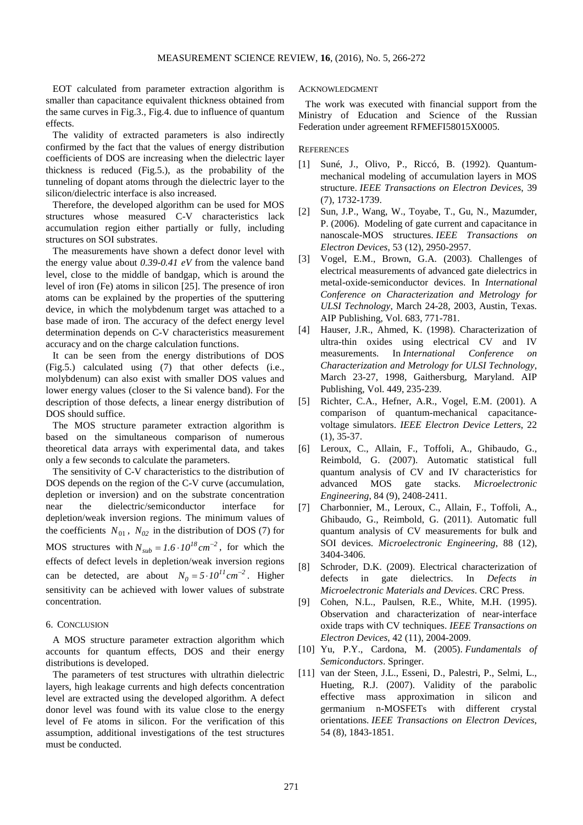EOT calculated from parameter extraction algorithm is smaller than capacitance equivalent thickness obtained from the same curves in Fig.3., Fig.4. due to influence of quantum effects.

The validity of extracted parameters is also indirectly confirmed by the fact that the values of energy distribution coefficients of DOS are increasing when the dielectric layer thickness is reduced (Fig.5.), as the probability of the tunneling of dopant atoms through the dielectric layer to the silicon/dielectric interface is also increased.

Therefore, the developed algorithm can be used for MOS structures whose measured C-V characteristics lack accumulation region either partially or fully, including structures on SOI substrates.

The measurements have shown a defect donor level with the energy value about *0.39-0.41 eV* from the valence band level, close to the middle of bandgap, which is around the level of iron (Fe) atoms in silicon [25]. The presence of iron atoms can be explained by the properties of the sputtering device, in which the molybdenum target was attached to a base made of iron. The accuracy of the defect energy level determination depends on C-V characteristics measurement accuracy and on the charge calculation functions.

It can be seen from the energy distributions of DOS (Fig.5.) calculated using (7) that other defects (i.e., molybdenum) can also exist with smaller DOS values and lower energy values (closer to the Si valence band). For the description of those defects, a linear energy distribution of DOS should suffice.

The MOS structure parameter extraction algorithm is based on the simultaneous comparison of numerous theoretical data arrays with experimental data, and takes only a few seconds to calculate the parameters.

The sensitivity of C-V characteristics to the distribution of DOS depends on the region of the C-V curve (accumulation, depletion or inversion) and on the substrate concentration near the dielectric/semiconductor interface for depletion/weak inversion regions. The minimum values of the coefficients  $N_{01}$ ,  $N_{02}$  in the distribution of DOS (7) for MOS structures with  $N_{sub} = 1.6 \cdot 10^{18} \text{ cm}^{-2}$ , for which the effects of defect levels in depletion/weak inversion regions can be detected, are about  $N_0 = 5 \cdot 10^{11} \text{ cm}^{-2}$ . Higher sensitivity can be achieved with lower values of substrate concentration.

# 6. CONCLUSION

A MOS structure parameter extraction algorithm which accounts for quantum effects, DOS and their energy distributions is developed.

The parameters of test structures with ultrathin dielectric layers, high leakage currents and high defects concentration level are extracted using the developed algorithm. A defect donor level was found with its value close to the energy level of Fe atoms in silicon. For the verification of this assumption, additional investigations of the test structures must be conducted.

## ACKNOWLEDGMENT

The work was executed with financial support from the Ministry of Education and Science of the Russian Federation under agreement RFMEFI58015X0005.

#### **REFERENCES**

- [1] Suné, J., Olivo, P., Riccó, B. (1992). Quantummechanical modeling of accumulation layers in MOS structure. *IEEE Transactions on Electron Devices*, 39 (7), 1732-1739.
- [2] Sun, J.P., Wang, W., Toyabe, T., Gu, N., Mazumder, P. (2006). Modeling of gate current and capacitance in nanoscale-MOS structures. *IEEE Transactions on Electron Devices*, 53 (12), 2950-2957.
- [3] Vogel, E.M., Brown, G.A. (2003). Challenges of electrical measurements of advanced gate dielectrics in metal-oxide-semiconductor devices. In *International Conference on Characterization and Metrology for ULSI Technology*, March 24-28, 2003, Austin, Texas. AIP Publishing, Vol. 683, 771-781.
- [4] Hauser, J.R., Ahmed, K. (1998). Characterization of ultra-thin oxides using electrical CV and IV measurements. In *International Conference on Characterization and Metrology for ULSI Technology*, March 23-27, 1998, Gaithersburg, Maryland. AIP Publishing, Vol. 449, 235-239.
- [5] Richter, C.A., Hefner, A.R., Vogel, E.M. (2001). A comparison of quantum-mechanical capacitancevoltage simulators. *IEEE Electron Device Letters*, 22 (1), 35-37.
- [6] Leroux, C., Allain, F., Toffoli, A., Ghibaudo, G., Reimbold, G. (2007). Automatic statistical full quantum analysis of CV and IV characteristics for advanced MOS gate stacks. *Microelectronic Engineering*, 84 (9), 2408-2411.
- [7] Charbonnier, M., Leroux, C., Allain, F., Toffoli, A., Ghibaudo, G., Reimbold, G. (2011). Automatic full quantum analysis of CV measurements for bulk and SOI devices. *Microelectronic Engineering*, 88 (12), 3404-3406.
- [8] Schroder, D.K. (2009). Electrical characterization of defects in gate dielectrics. In *Defects in Microelectronic Materials and Devices*. CRC Press.
- [9] Cohen, N.L., Paulsen, R.E., White, M.H. (1995). Observation and characterization of near-interface oxide traps with CV techniques. *IEEE Transactions on Electron Devices*, 42 (11), 2004-2009.
- [10] Yu, P.Y., Cardona, M. (2005). *Fundamentals of Semiconductors*. Springer.
- [11] van der Steen, J.L., Esseni, D., Palestri, P., Selmi, L., Hueting, R.J. (2007). Validity of the parabolic effective mass approximation in silicon and germanium n-MOSFETs with different crystal orientations. *IEEE Transactions on Electron Devices*, 54 (8), 1843-1851.